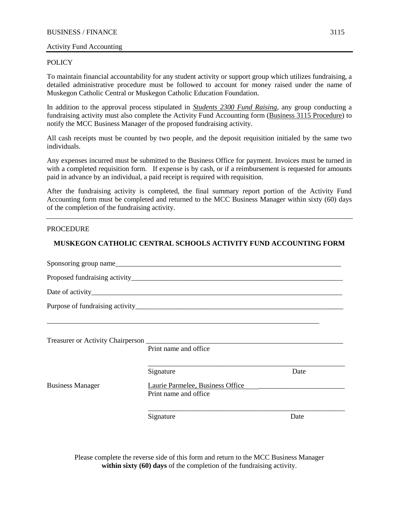## Activity Fund Accounting

### **POLICY**

To maintain financial accountability for any student activity or support group which utilizes fundraising, a detailed administrative procedure must be followed to account for money raised under the name of Muskegon Catholic Central or Muskegon Catholic Education Foundation.

In addition to the approval process stipulated in *Students 2300 Fund Raising*, any group conducting a fundraising activity must also complete the Activity Fund Accounting form (Business 3115 Procedure) to notify the MCC Business Manager of the proposed fundraising activity.

All cash receipts must be counted by two people, and the deposit requisition initialed by the same two individuals.

Any expenses incurred must be submitted to the Business Office for payment. Invoices must be turned in with a completed requisition form. If expense is by cash, or if a reimbursement is requested for amounts paid in advance by an individual, a paid receipt is required with requisition.

After the fundraising activity is completed, the final summary report portion of the Activity Fund Accounting form must be completed and returned to the MCC Business Manager within sixty (60) days of the completion of the fundraising activity.

#### PROCEDURE

## **MUSKEGON CATHOLIC CENTRAL SCHOOLS ACTIVITY FUND ACCOUNTING FORM**

|                         | Print name and office                                     |      |  |  |  |  |
|-------------------------|-----------------------------------------------------------|------|--|--|--|--|
|                         | Signature                                                 | Date |  |  |  |  |
| <b>Business Manager</b> | Laurie Parmelee, Business Office<br>Print name and office |      |  |  |  |  |
|                         | Signature                                                 | Date |  |  |  |  |

Please complete the reverse side of this form and return to the MCC Business Manager **within sixty (60) days** of the completion of the fundraising activity.